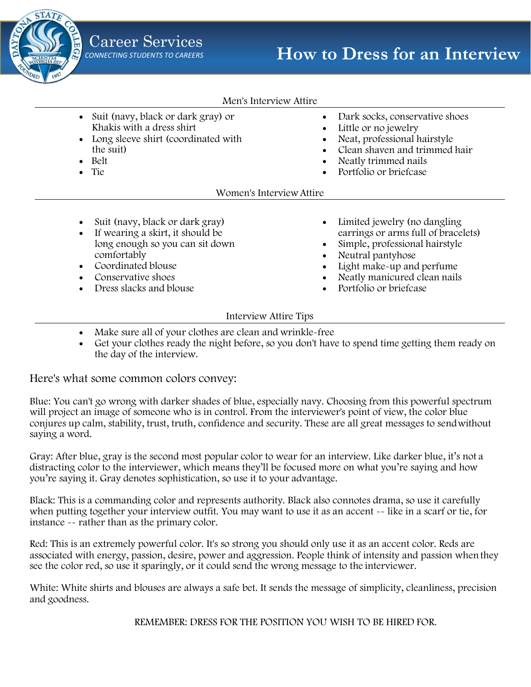

#### Men's Interview Attire

- Suit (navy, black or dark gray) or Khakis with a dress shirt
- Long sleeve shirt (coordinated with the suit)
- Belt
- Tie
- Dark socks, conservative shoes
- Little or no jewelry
- Neat, professional hairstyle
- Clean shaven and trimmed hair
- Neatly trimmed nails
- Portfolio or briefcase

#### Women's Interview Attire

- Suit (navy, black or dark gray)
- If wearing a skirt, it should be long enough so you can sit down comfortably
- Coordinated blouse
- Conservative shoes
- Dress slacks and blouse
- Limited jewelry (no dangling earrings or arms full of bracelets)
- Simple, professional hairstyle
- Neutral pantyhose
- Light make-up and perfume
- Neatly manicured clean nails
- Portfolio or briefcase

#### Interview Attire Tips

- Make sure all of your clothes are clean and wrinkle-free
- Get your clothes ready the night before, so you don't have to spend time getting them ready on the day of the interview.

Here's what some common colors convey:

Blue: You can't go wrong with darker shades of blue, especially navy. Choosing from this powerful spectrum will project an image of someone who is in control. From the interviewer's point of view, the color blue conjures up calm, stability, trust, truth, confidence and security. These are all great messages to sendwithout saying a word.

Gray: After blue, gray is the second most popular color to wear for an interview. Like darker blue, it's not a distracting color to the interviewer, which means they'll be focused more on what you're saying and how you're saying it. Gray denotes sophistication, so use it to your advantage.

Black: This is a commanding color and represents authority. Black also connotes drama, so use it carefully when putting together your interview outfit. You may want to use it as an accent -- like in a scarf or tie, for instance -- rather than as the primary color.

Red: This is an extremely powerful color. It's so strong you should only use it as an accent color. Reds are associated with energy, passion, desire, power and aggression. People think of intensity and passion whenthey see the color red, so use it sparingly, or it could send the wrong message to the interviewer.

White: White shirts and blouses are always a safe bet. It sends the message of simplicity, cleanliness, precision and goodness.

REMEMBER: DRESS FOR THE POSITION YOU WISH TO BE HIRED FOR.